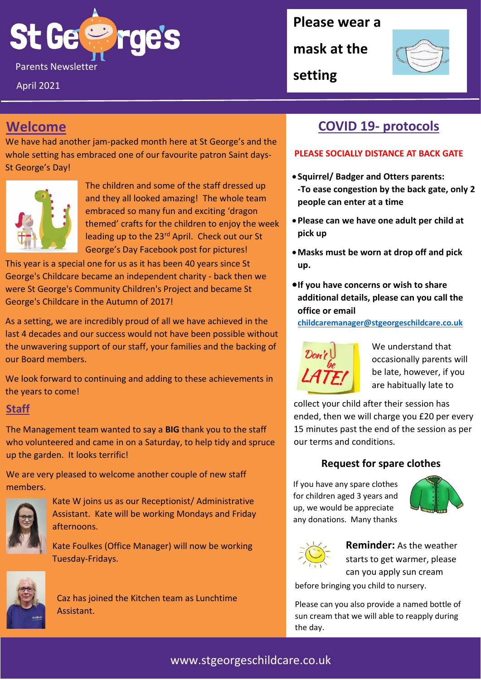

April 2021

**Please wear a** 

**mask at the** 



**setting**

## **Welcome**

We have had another jam-packed month here at St George's and the whole setting has embraced one of our favourite patron Saint days-St George's Day!



The children and some of the staff dressed up and they all looked amazing! The whole team embraced so many fun and exciting 'dragon themed' crafts for the children to enjoy the week leading up to the 23<sup>rd</sup> April. Check out our St George's Day Facebook post for pictures!

This year is a special one for us as it has been 40 years since St George's Childcare became an independent charity - back then we were St George's Community Children's Project and became St George's Childcare in the Autumn of 2017!

As a setting, we are incredibly proud of all we have achieved in the last 4 decades and our success would not have been possible without the unwavering support of our staff, your families and the backing of our Board members.

We look forward to continuing and adding to these achievements in the years to come!

#### **Staff**

The Management team wanted to say a **BIG** thank you to the staff who volunteered and came in on a Saturday, to help tidy and spruce up the garden. It looks terrific!

We are very pleased to welcome another couple of new staff members.



Kate W joins us as our Receptionist/ Administrative Assistant. Kate will be working Mondays and Friday afternoons.

Kate Foulkes (Office Manager) will now be working Tuesday-Fridays.



Caz has joined the Kitchen team as Lunchtime Assistant.

## **COVID 19- protocols**

#### **PLEASE SOCIALLY DISTANCE AT BACK GATE**

- **Squirrel/ Badger and Otters parents: -To ease congestion by the back gate, only 2 people can enter at a time**
- •**Please can we have one adult per child at pick up**
- •**Masks must be worn at drop off and pick up.**
- •**If you have concerns or wish to share additional details, please can you call the office or email**

**[childcaremanager@stgeorgeschildcare.co.uk](mailto:childcaremanager@stgeorgeschildcare.co.uk)**



We understand that occasionally parents will be late, however, if you are habitually late to

collect your child after their session has ended, then we will charge you £20 per every 15 minutes past the end of the session as per our terms and conditions.

#### **Request for spare clothes**

If you have any spare clothes for children aged 3 years and up, we would be appreciate any donations. Many thanks





**Reminder:** As the weather starts to get warmer, please can you apply sun cream

before bringing you child to nursery.

Please can you also provide a named bottle of sun cream that we will able to reapply during the day.

### www.stgeorgeschildcare.co.uk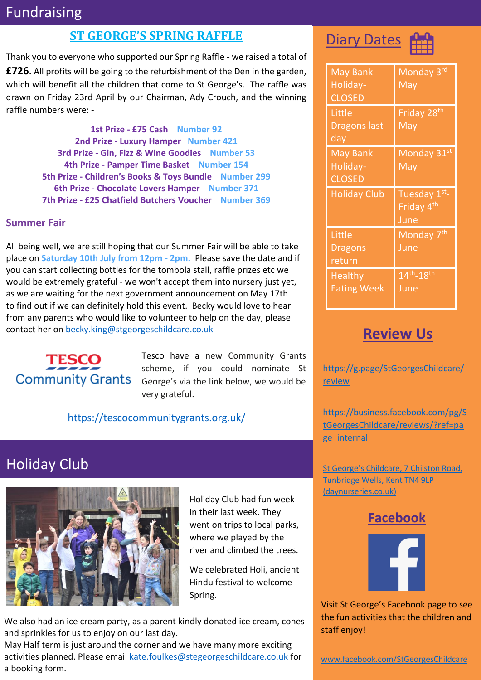## Fundraising

#### **ST GEORGE'S SPRING RAFFLE**

Thank you to everyone who supported our Spring Raffle - we raised a total of **£726**. All profits will be going to the refurbishment of the Den in the garden, which will benefit all the children that come to St George's. The raffle was drawn on Friday 23rd April by our Chairman, Ady Crouch, and the winning raffle numbers were: -

> **1st Prize - £75 Cash Number 92 2nd Prize - Luxury Hamper Number 421 3rd Prize - Gin, Fizz & Wine Goodies Number 53 4th Prize - Pamper Time Basket Number 154 5th Prize - Children's Books & Toys Bundle Number 299 6th Prize - Chocolate Lovers Hamper Number 371 7th Prize - £25 Chatfield Butchers Voucher Number 369**

#### **Summer Fair**

All being well, we are still hoping that our Summer Fair will be able to take place on **Saturday 10th July from 12pm - 2pm.** Please save the date and if you can start collecting bottles for the tombola stall, raffle prizes etc we would be extremely grateful - we won't accept them into nursery just yet, as we are waiting for the next government announcement on May 17th to find out if we can definitely hold this event. Becky would love to hear from any parents who would like to volunteer to help on the day, please contact her on [becky.king@stgeorgeschildcare.co.uk](mailto:becky.king@stgeorgeschildcare.co.uk)



Tesco have a new Community Grants scheme, if you could nominate St George's via the link below, we would be very grateful.

#### [https://tescocommunitygrants.org.uk/](https://eur03.safelinks.protection.outlook.com/?url=https%3A%2F%2Ftescocommunitygrants.org.uk%2F&data=04%7C01%7CBecky.King%40stgeorgeschildcare.co.uk%7C8587bdd5a2ed4c0f176f08d90a351b54%7Cd9f08fb284834091a48337fabab9c985%7C0%7C0%7C637552045486421000%7CUnknown%7CTWFpbGZsb3d8eyJWIjoiMC4wLjAwMDAiLCJQIjoiV2luMzIiLCJBTiI6Ik1haWwiLCJXVCI6Mn0%3D%7C1000&sdata=Mdda%2BWn%2FzLZq3fFZWrRGEH1M0jKwHYciK%2FioUtfwxfU%3D&reserved=0)

er [https://tescocommunitygrants.org.uk/](https://eur03.safelinks.protection.outlook.com/?url=https%3A%2F%2Ftescocommunitygrants.org.uk%2F&data=04%7C01%7CBecky.King%40stgeorgeschildcare.co.uk%7C8587bdd5a2ed4c0f176f08d90a351b54%7Cd9f08fb284834091a48337fabab9c985%7C0%7C0%7C637552045486421000%7CUnknown%7CTWFpbGZsb3d8eyJWIjoiMC4wLjAwMDAiLCJQIjoiV2luMzIiLCJBTiI6Ik1haWwiLCJXVCI6Mn0%3D%7C1000&sdata=Mdda%2BWn%2FzLZq3fFZWrRGEH1M0jKwHYciK%2FioUtfwxfU%3D&reserved=0) but w

## Holiday Club



Holiday Club had fun week in their last week. They went on trips to local parks, where we played by the river and climbed the trees.

We celebrated Holi, ancient Hindu festival to welcome Spring.

We also had an ice cream party, as a parent kindly donated ice cream, cones and sprinkles for us to enjoy on our last day.

May Half term is just around the corner and we have many more exciting activities planned. Please email [kate.foulkes@stegeorgeschildcare.co.uk](mailto:kate.foulkes@stegeorgeschildcare.co.uk) for a booking form.





| <b>May Bank</b><br>Holiday-<br><b>CLOSED</b> | Monday 3rd<br>$\overline{\text{May}}$          |
|----------------------------------------------|------------------------------------------------|
| Little<br><b>Dragons last</b><br>day         | Friday 28 <sup>th</sup><br>May                 |
| <b>May Bank</b><br>Holiday-<br><b>CLOSED</b> | Monday 31st<br>May                             |
|                                              |                                                |
| <b>Holiday Club</b>                          | Tuesday 1st-<br>Friday 4 <sup>th</sup><br>June |
| Little<br><b>Dragons</b><br>return           | Monday 7 <sup>th</sup><br>June                 |

## **Review Us**

[https://g.page/StGeorgesChildcare/](https://g.page/StGeorgesChildcare/review) **[review](https://g.page/StGeorgesChildcare/review)** 

[https://business.facebook.com/pg/S](https://business.facebook.com/pg/StGeorgesChildcare/reviews/?ref=page_internal) [tGeorgesChildcare/reviews/?ref=pa](https://business.facebook.com/pg/StGeorgesChildcare/reviews/?ref=page_internal) [ge\\_internal](https://business.facebook.com/pg/StGeorgesChildcare/reviews/?ref=page_internal)

[St George's Childcare, 7 Chilston Road,](https://www.daynurseries.co.uk/daynursery.cfm/searchazref/50001050GEOA/rcsid/1001#submit-review-tab)  [Tunbridge Wells, Kent TN4 9LP](https://www.daynurseries.co.uk/daynursery.cfm/searchazref/50001050GEOA/rcsid/1001#submit-review-tab)  [\(daynurseries.co.uk\)](https://www.daynurseries.co.uk/daynursery.cfm/searchazref/50001050GEOA/rcsid/1001#submit-review-tab)

### **Facebook**



Visit St George's Facebook page to see the fun activities that the children and staff enjoy!

[www.facebook.com/StGeorgesChildcare](http://www.facebook.com/StGeorgesChildcare)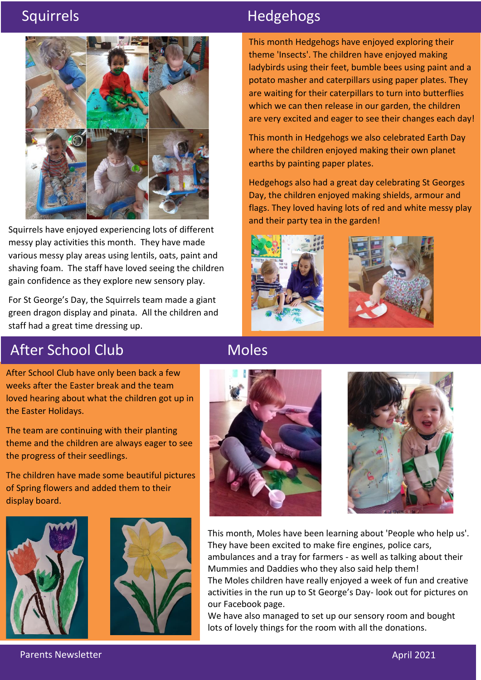

Squirrels have enjoyed experiencing lots of different messy play activities this month. They have made various messy play areas using lentils, oats, paint and shaving foam. The staff have loved seeing the children gain confidence as they explore new sensory play.

For St George's Day, the Squirrels team made a giant green dragon display and pinata. All the children and staff had a great time dressing up.

## Squirrels **Hedgehogs**

This month Hedgehogs have enjoyed exploring their theme 'Insects'. The children have enjoyed making ladybirds using their feet, bumble bees using paint and a potato masher and caterpillars using paper plates. They are waiting for their caterpillars to turn into butterflies which we can then release in our garden, the children are very excited and eager to see their changes each day!

This month in Hedgehogs we also celebrated Earth Day where the children enjoyed making their own planet earths by painting paper plates.

Hedgehogs also had a great day celebrating St Georges Day, the children enjoyed making shields, armour and flags. They loved having lots of red and white messy play and their party tea in the garden!





# After School Club

Moles

After School Club have only been back a few weeks after the Easter break and the team loved hearing about what the children got up in the Easter Holidays.

The team are continuing with their planting theme and the children are always eager to see the progress of their seedlings.

The children have made some beautiful pictures of Spring flowers and added them to their display board.









This month, Moles have been learning about 'People who help us'. They have been excited to make fire engines, police cars, ambulances and a tray for farmers - as well as talking about their Mummies and Daddies who they also said help them! The Moles children have really enjoyed a week of fun and creative activities in the run up to St George's Day- look out for pictures on our Facebook page.

We have also managed to set up our sensory room and bought lots of lovely things for the room with all the donations.

Parents Newsletter April 2021 - April 2021 March 2021 - April 2021 March 2021 - April 2021